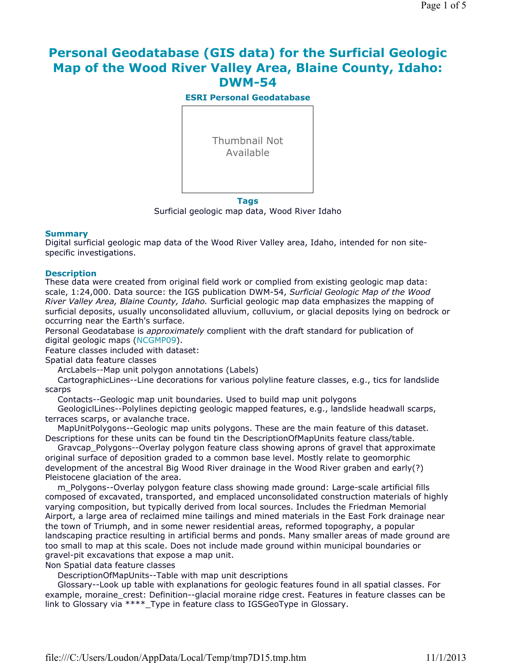# **Personal Geodatabase (GIS data) for the Surficial Geologic Map of the Wood River Valley Area, Blaine County, Idaho: DWM-54**

**ESRI Personal Geodatabase**



Surficial geologic map data, Wood River Idaho

#### **Summary**

Digital surficial geologic map data of the Wood River Valley area, Idaho, intended for non sitespecific investigations.

#### **Description**

These data were created from original field work or complied from existing geologic map data: scale, 1:24,000. Data source: the IGS publication DWM-54, *Surficial Geologic Map of the Wood River Valley Area, Blaine County, Idaho.* Surficial geologic map data emphasizes the mapping of surficial deposits, usually unconsolidated alluvium, colluvium, or glacial deposits lying on bedrock or occurring near the Earth's surface.

Personal Geodatabase is *approximately* complient with the draft standard for publication of digital geologic maps (NCGMP09).

Feature classes included with dataset:

Spatial data feature classes

ArcLabels--Map unit polygon annotations (Labels)

CartographicLines--Line decorations for various polyline feature classes, e.g., tics for landslide scarps

Contacts--Geologic map unit boundaries. Used to build map unit polygons

GeologiclLines--Polylines depicting geologic mapped features, e.g., landslide headwall scarps, terraces scarps, or avalanche trace.

MapUnitPolygons--Geologic map units polygons. These are the main feature of this dataset. Descriptions for these units can be found tin the DescriptionOfMapUnits feature class/table.

Graycap Polygons--Overlay polygon feature class showing aprons of gravel that approximate original surface of deposition graded to a common base level. Mostly relate to geomorphic development of the ancestral Big Wood River drainage in the Wood River graben and early(?) Pleistocene glaciation of the area.

m\_Polygons--Overlay polygon feature class showing made ground: Large-scale artificial fills composed of excavated, transported, and emplaced unconsolidated construction materials of highly varying composition, but typically derived from local sources. Includes the Friedman Memorial Airport, a large area of reclaimed mine tailings and mined materials in the East Fork drainage near the town of Triumph, and in some newer residential areas, reformed topography, a popular landscaping practice resulting in artificial berms and ponds. Many smaller areas of made ground are too small to map at this scale. Does not include made ground within municipal boundaries or gravel-pit excavations that expose a map unit.

Non Spatial data feature classes

DescriptionOfMapUnits--Table with map unit descriptions

Glossary--Look up table with explanations for geologic features found in all spatial classes. For example, moraine crest: Definition--glacial moraine ridge crest. Features in feature classes can be link to Glossary via \*\*\*\* Type in feature class to IGSGeoType in Glossary.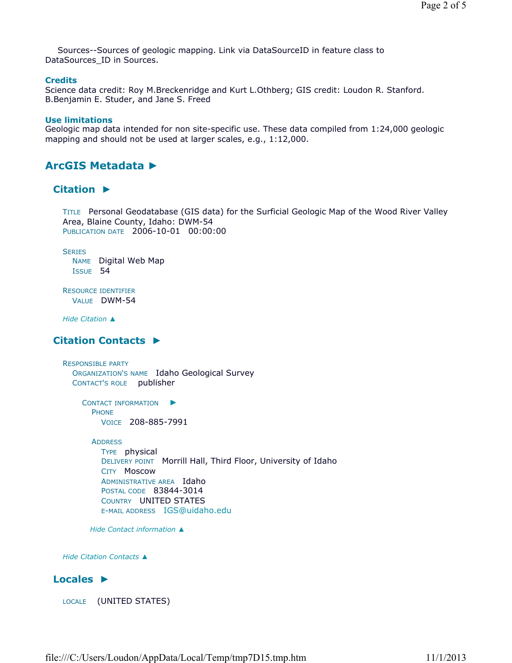Sources--Sources of geologic mapping. Link via DataSourceID in feature class to DataSources ID in Sources.

#### **Credits**

Science data credit: Roy M.Breckenridge and Kurt L.Othberg; GIS credit: Loudon R. Stanford. B.Benjamin E. Studer, and Jane S. Freed

#### **Use limitations**

Geologic map data intended for non site-specific use. These data compiled from 1:24,000 geologic mapping and should not be used at larger scales, e.g., 1:12,000.

## **ArcGIS Metadata ►**

#### **Citation ►**

TITLE Personal Geodatabase (GIS data) for the Surficial Geologic Map of the Wood River Valley Area, Blaine County, Idaho: DWM-54 PUBLICATION DATE 2006-10-01 00:00:00

**SERIES** NAME Digital Web Map ISSUE 54

RESOURCE IDENTIFIER VALUE DWM-54

*Hide Citation ▲*

## **Citation Contacts ►**

RESPONSIBLE PARTY ORGANIZATION'S NAME Idaho Geological Survey CONTACT'S ROLE publisher

> CONTACT INFORMATION ► PHONE VOICE 208-885-7991

#### ADDRESS

TYPE physical DELIVERY POINT Morrill Hall, Third Floor, University of Idaho CITY Moscow ADMINISTRATIVE AREA Idaho POSTAL CODE 83844-3014 COUNTRY UNITED STATES E-MAIL ADDRESS IGS@uidaho.edu

*Hide Contact information ▲*

*Hide Citation Contacts ▲*

#### **Locales ►**

LOCALE (UNITED STATES)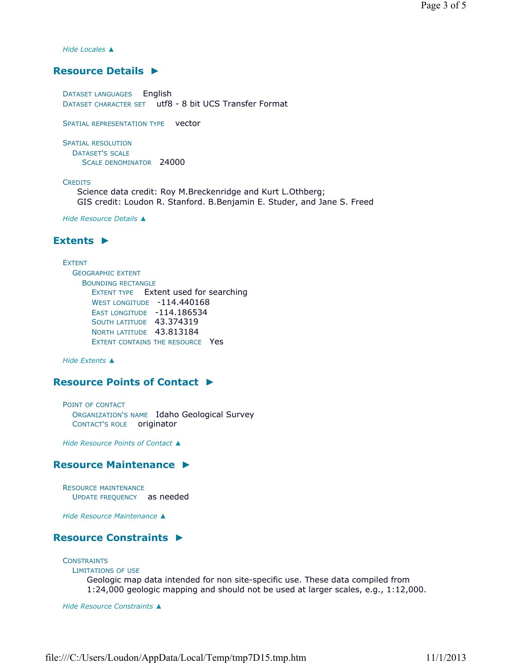*Hide Locales ▲*

## **Resource Details ►**

DATASET LANGUAGES English DATASET CHARACTER SET utf8 - 8 bit UCS Transfer Format

SPATIAL REPRESENTATION TYPE vector

SPATIAL RESOLUTION DATASET'S SCALE SCALE DENOMINATOR 24000

#### **CREDITS**

Science data credit: Roy M.Breckenridge and Kurt L.Othberg; GIS credit: Loudon R. Stanford. B.Benjamin E. Studer, and Jane S. Freed

*Hide Resource Details ▲*

### **Extents ►**

#### EXTENT

GEOGRAPHIC EXTENT BOUNDING RECTANGLE EXTENT TYPE Extent used for searching WEST LONGITUDE -114.440168 EAST LONGITUDE -114.186534 SOUTH LATITUDE 43.374319 NORTH LATITUDE 43.813184 EXTENT CONTAINS THE RESOURCE Yes

*Hide Extents ▲*

## **Resource Points of Contact ►**

POINT OF CONTACT ORGANIZATION'S NAME Idaho Geological Survey CONTACT'S ROLE originator

*Hide Resource Points of Contact ▲*

### **Resource Maintenance ►**

RESOURCE MAINTENANCE UPDATE FREQUENCY as needed

*Hide Resource Maintenance ▲*

## **Resource Constraints ►**

**CONSTRAINTS** LIMITATIONS OF USE Geologic map data intended for non site-specific use. These data compiled from 1:24,000 geologic mapping and should not be used at larger scales, e.g., 1:12,000.

*Hide Resource Constraints ▲*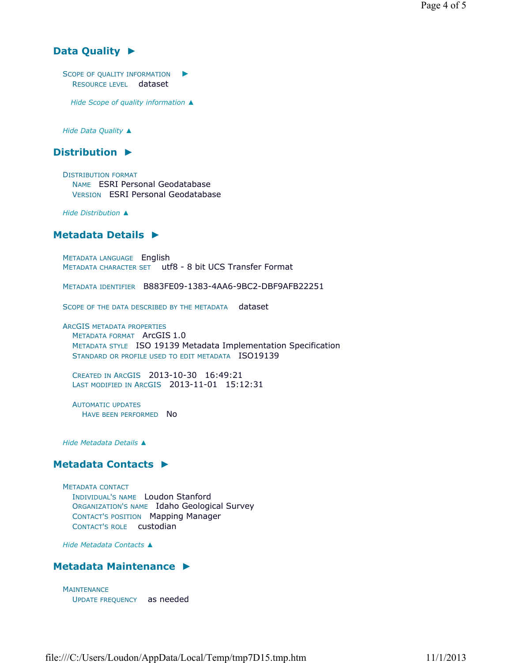## **Data Quality ►**

SCOPE OF QUALITY INFORMATION  $\blacktriangleright$ RESOURCE LEVEL dataset

*Hide Scope of quality information ▲*

*Hide Data Quality ▲*

#### **Distribution ►**

DISTRIBUTION FORMAT NAME ESRI Personal Geodatabase VERSION ESRI Personal Geodatabase

*Hide Distribution ▲*

#### **Metadata Details ►**

METADATA LANGUAGE English METADATA CHARACTER SET utf8 - 8 bit UCS Transfer Format

METADATA IDENTIFIER B883FE09-1383-4AA6-9BC2-DBF9AFB22251

SCOPE OF THE DATA DESCRIBED BY THE METADATA dataset

ARCGIS METADATA PROPERTIES METADATA FORMAT ArcGIS 1.0 METADATA STYLE ISO 19139 Metadata Implementation Specification STANDARD OR PROFILE USED TO EDIT METADATA ISO19139

CREATED IN ARCGIS 2013-10-30 16:49:21 LAST MODIFIED IN ARCGIS 2013-11-01 15:12:31

AUTOMATIC UPDATES HAVE BEEN PERFORMED No

*Hide Metadata Details ▲*

### **Metadata Contacts ►**

METADATA CONTACT INDIVIDUAL'S NAME Loudon Stanford ORGANIZATION'S NAME Idaho Geological Survey CONTACT'S POSITION Mapping Manager CONTACT'S ROLE custodian

*Hide Metadata Contacts ▲*

#### **Metadata Maintenance ►**

**MAINTENANCE** UPDATE FREQUENCY as needed